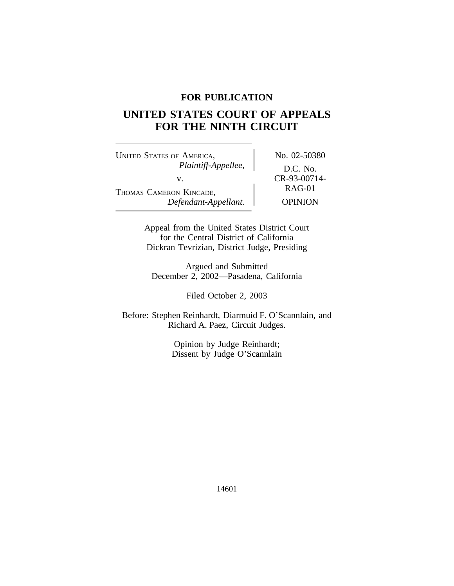# **FOR PUBLICATION**

# **UNITED STATES COURT OF APPEALS FOR THE NINTH CIRCUIT**

UNITED STATES OF AMERICA, No. 02-50380 *Plaintiff-Appellee,* D.C. No. v.  $CR-93-00714-  
RAG-01$ THOMAS CAMERON KINCADE, *Defendant-Appellant.* OPINION

Appeal from the United States District Court for the Central District of California Dickran Tevrizian, District Judge, Presiding

Argued and Submitted December 2, 2002—Pasadena, California

Filed October 2, 2003

Before: Stephen Reinhardt, Diarmuid F. O'Scannlain, and Richard A. Paez, Circuit Judges.

> Opinion by Judge Reinhardt; Dissent by Judge O'Scannlain

> > 14601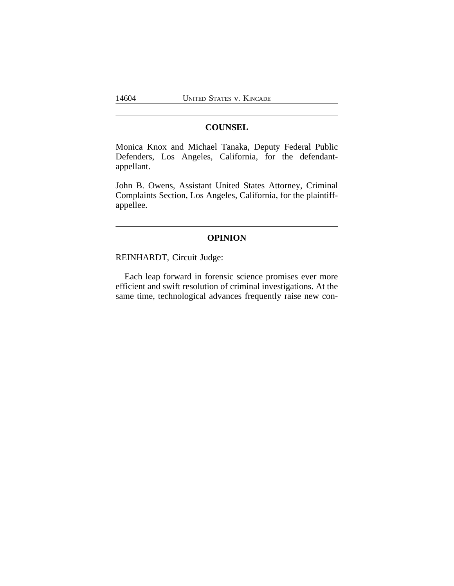# **COUNSEL**

Monica Knox and Michael Tanaka, Deputy Federal Public Defenders, Los Angeles, California, for the defendantappellant.

John B. Owens, Assistant United States Attorney, Criminal Complaints Section, Los Angeles, California, for the plaintiffappellee.

# **OPINION**

REINHARDT, Circuit Judge:

Each leap forward in forensic science promises ever more efficient and swift resolution of criminal investigations. At the same time, technological advances frequently raise new con-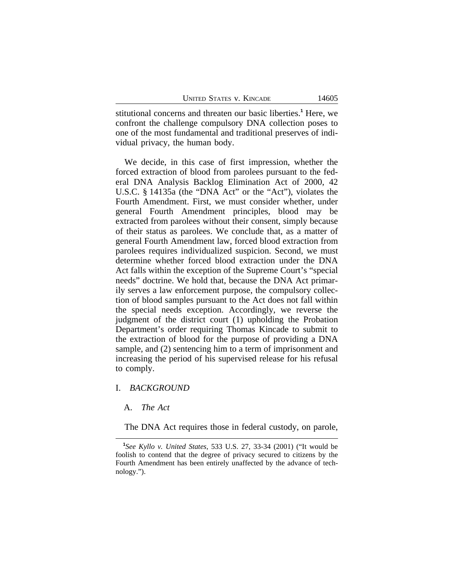stitutional concerns and threaten our basic liberties.**<sup>1</sup>** Here, we confront the challenge compulsory DNA collection poses to one of the most fundamental and traditional preserves of individual privacy, the human body.

We decide, in this case of first impression, whether the forced extraction of blood from parolees pursuant to the federal DNA Analysis Backlog Elimination Act of 2000, 42 U.S.C. § 14135a (the "DNA Act" or the "Act"), violates the Fourth Amendment. First, we must consider whether, under general Fourth Amendment principles, blood may be extracted from parolees without their consent, simply because of their status as parolees. We conclude that, as a matter of general Fourth Amendment law, forced blood extraction from parolees requires individualized suspicion. Second, we must determine whether forced blood extraction under the DNA Act falls within the exception of the Supreme Court's "special needs" doctrine. We hold that, because the DNA Act primarily serves a law enforcement purpose, the compulsory collection of blood samples pursuant to the Act does not fall within the special needs exception. Accordingly, we reverse the judgment of the district court (1) upholding the Probation Department's order requiring Thomas Kincade to submit to the extraction of blood for the purpose of providing a DNA sample, and (2) sentencing him to a term of imprisonment and increasing the period of his supervised release for his refusal to comply.

### I. *BACKGROUND*

A. *The Act*

The DNA Act requires those in federal custody, on parole,

**<sup>1</sup>** *See Kyllo v. United States*, 533 U.S. 27, 33-34 (2001) ("It would be foolish to contend that the degree of privacy secured to citizens by the Fourth Amendment has been entirely unaffected by the advance of technology.").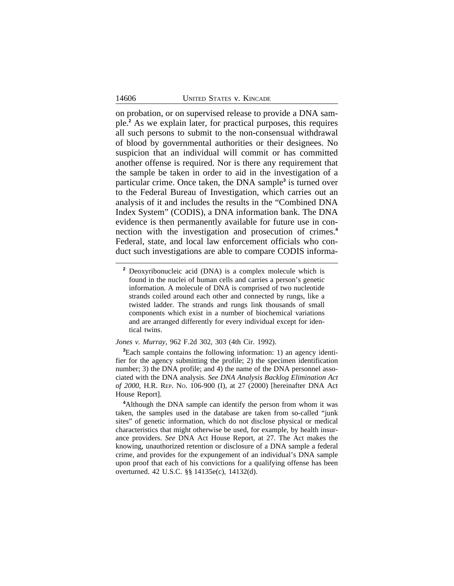on probation, or on supervised release to provide a DNA sample.**<sup>2</sup>** As we explain later, for practical purposes, this requires all such persons to submit to the non-consensual withdrawal of blood by governmental authorities or their designees. No suspicion that an individual will commit or has committed another offense is required. Nor is there any requirement that the sample be taken in order to aid in the investigation of a particular crime. Once taken, the DNA sample**<sup>3</sup>** is turned over to the Federal Bureau of Investigation, which carries out an analysis of it and includes the results in the "Combined DNA Index System" (CODIS), a DNA information bank. The DNA evidence is then permanently available for future use in connection with the investigation and prosecution of crimes.**<sup>4</sup>** Federal, state, and local law enforcement officials who conduct such investigations are able to compare CODIS informa-

*Jones v. Murray*, 962 F.2d 302, 303 (4th Cir. 1992).

**<sup>3</sup>**Each sample contains the following information: 1) an agency identifier for the agency submitting the profile; 2) the specimen identification number; 3) the DNA profile; and 4) the name of the DNA personnel associated with the DNA analysis. *See DNA Analysis Backlog Elimination Act of 2000*, H.R. REP. NO. 106-900 (I), at 27 (2000) [hereinafter DNA Act House Report].

**<sup>4</sup>**Although the DNA sample can identify the person from whom it was taken, the samples used in the database are taken from so-called "junk sites" of genetic information, which do not disclose physical or medical characteristics that might otherwise be used, for example, by health insurance providers. *See* DNA Act House Report, at 27. The Act makes the knowing, unauthorized retention or disclosure of a DNA sample a federal crime, and provides for the expungement of an individual's DNA sample upon proof that each of his convictions for a qualifying offense has been overturned. 42 U.S.C. §§ 14135e(c), 14132(d).

**<sup>2</sup>** Deoxyribonucleic acid (DNA) is a complex molecule which is found in the nuclei of human cells and carries a person's genetic information. A molecule of DNA is comprised of two nucleotide strands coiled around each other and connected by rungs, like a twisted ladder. The strands and rungs link thousands of small components which exist in a number of biochemical variations and are arranged differently for every individual except for identical twins.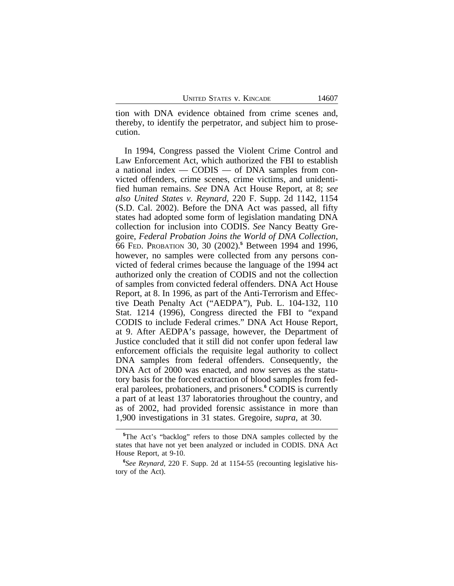tion with DNA evidence obtained from crime scenes and, thereby, to identify the perpetrator, and subject him to prosecution.

In 1994, Congress passed the Violent Crime Control and Law Enforcement Act, which authorized the FBI to establish a national index — CODIS — of DNA samples from convicted offenders, crime scenes, crime victims, and unidentified human remains. *See* DNA Act House Report, at 8; *see also United States v. Reynard*, 220 F. Supp. 2d 1142, 1154 (S.D. Cal. 2002). Before the DNA Act was passed, all fifty states had adopted some form of legislation mandating DNA collection for inclusion into CODIS. *See* Nancy Beatty Gregoire, *Federal Probation Joins the World of DNA Collection*, 66 FED. PROBATION 30, 30 (2002).**<sup>5</sup>** Between 1994 and 1996, however, no samples were collected from any persons convicted of federal crimes because the language of the 1994 act authorized only the creation of CODIS and not the collection of samples from convicted federal offenders. DNA Act House Report, at 8. In 1996, as part of the Anti-Terrorism and Effective Death Penalty Act ("AEDPA"), Pub. L. 104-132, 110 Stat. 1214 (1996), Congress directed the FBI to "expand CODIS to include Federal crimes." DNA Act House Report, at 9. After AEDPA's passage, however, the Department of Justice concluded that it still did not confer upon federal law enforcement officials the requisite legal authority to collect DNA samples from federal offenders. Consequently, the DNA Act of 2000 was enacted, and now serves as the statutory basis for the forced extraction of blood samples from federal parolees, probationers, and prisoners.**<sup>6</sup>** CODIS is currently a part of at least 137 laboratories throughout the country, and as of 2002, had provided forensic assistance in more than 1,900 investigations in 31 states. Gregoire, *supra*, at 30.

**<sup>5</sup>**The Act's "backlog" refers to those DNA samples collected by the states that have not yet been analyzed or included in CODIS. DNA Act House Report, at 9-10.

**<sup>6</sup>** *See Reynard*, 220 F. Supp. 2d at 1154-55 (recounting legislative history of the Act).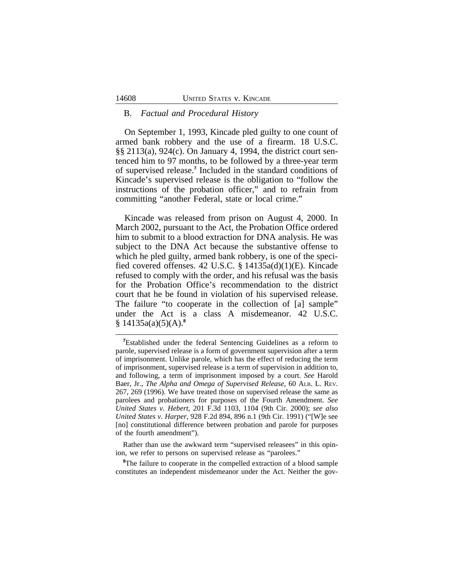### B. *Factual and Procedural History*

On September 1, 1993, Kincade pled guilty to one count of armed bank robbery and the use of a firearm. 18 U.S.C. §§ 2113(a), 924(c). On January 4, 1994, the district court sentenced him to 97 months, to be followed by a three-year term of supervised release.**<sup>7</sup>** Included in the standard conditions of Kincade's supervised release is the obligation to "follow the instructions of the probation officer," and to refrain from committing "another Federal, state or local crime."

Kincade was released from prison on August 4, 2000. In March 2002, pursuant to the Act, the Probation Office ordered him to submit to a blood extraction for DNA analysis. He was subject to the DNA Act because the substantive offense to which he pled guilty, armed bank robbery, is one of the specified covered offenses. 42 U.S.C. § 14135a(d)(1)(E). Kincade refused to comply with the order, and his refusal was the basis for the Probation Office's recommendation to the district court that he be found in violation of his supervised release. The failure "to cooperate in the collection of [a] sample" under the Act is a class A misdemeanor. 42 U.S.C. § 14135a(a)(5)(A).**<sup>8</sup>**

<sup>8</sup>The failure to cooperate in the compelled extraction of a blood sample constitutes an independent misdemeanor under the Act. Neither the gov-

**<sup>7</sup>**Established under the federal Sentencing Guidelines as a reform to parole, supervised release is a form of government supervision after a term of imprisonment. Unlike parole, which has the effect of reducing the term of imprisonment, supervised release is a term of supervision in addition to, and following, a term of imprisonment imposed by a court. *See* Harold Baer, Jr., *The Alpha and Omega of Supervised Release*, 60 ALB. L. REV. 267, 269 (1996). We have treated those on supervised release the same as parolees and probationers for purposes of the Fourth Amendment. *See United States v. Hebert*, 201 F.3d 1103, 1104 (9th Cir. 2000); *see also United States v. Harper*, 928 F.2d 894, 896 n.1 (9th Cir. 1991) ("[W]e see [no] constitutional difference between probation and parole for purposes of the fourth amendment").

Rather than use the awkward term "supervised releasees" in this opinion, we refer to persons on supervised release as "parolees."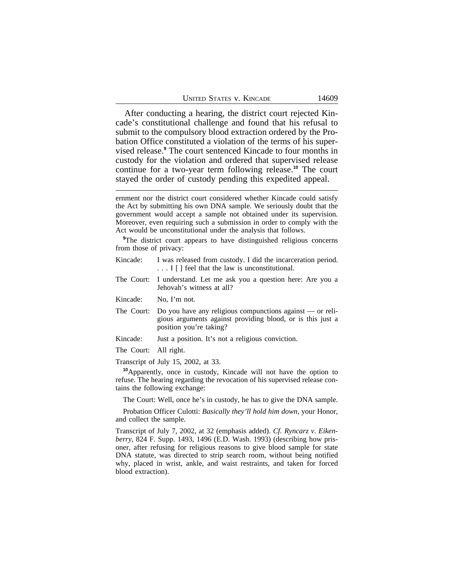|  |  |  | <b>UNITED STATES V. KINCADE</b> |
|--|--|--|---------------------------------|
|--|--|--|---------------------------------|

After conducting a hearing, the district court rejected Kincade's constitutional challenge and found that his refusal to submit to the compulsory blood extraction ordered by the Probation Office constituted a violation of the terms of his supervised release.**<sup>9</sup>** The court sentenced Kincade to four months in custody for the violation and ordered that supervised release continue for a two-year term following release.**<sup>10</sup>** The court stayed the order of custody pending this expedited appeal.

ernment nor the district court considered whether Kincade could satisfy the Act by submitting his own DNA sample. We seriously doubt that the government would accept a sample not obtained under its supervision. Moreover, even requiring such a submission in order to comply with the Act would be unconstitutional under the analysis that follows.

<sup>9</sup>The district court appears to have distinguished religious concerns from those of privacy:

- Kincade: I was released from custody. I did the incarceration period. ... I [] feel that the law is unconstitutional. The Court: I understand. Let me ask you a question here: Are you a
- Jehovah's witness at all?
- Kincade: No, I'm not.
- The Court: Do you have any religious compunctions against or religious arguments against providing blood, or is this just a position you're taking?
- Kincade: Just a position. It's not a religious conviction.
- The Court: All right.
- Transcript of July 15, 2002, at 33.

**<sup>10</sup>**Apparently, once in custody, Kincade will not have the option to refuse. The hearing regarding the revocation of his supervised release contains the following exchange:

The Court: Well, once he's in custody, he has to give the DNA sample.

Probation Officer Culotti: *Basically they'll hold him down*, your Honor, and collect the sample.

Transcript of July 7, 2002, at 32 (emphasis added). *Cf. Ryncarz v. Eikenberry*, 824 F. Supp. 1493, 1496 (E.D. Wash. 1993) (describing how prisoner, after refusing for religious reasons to give blood sample for state DNA statute, was directed to strip search room, without being notified why, placed in wrist, ankle, and waist restraints, and taken for forced blood extraction).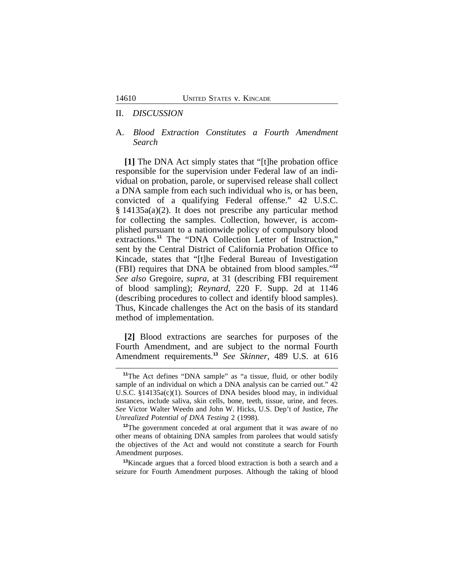#### II. *DISCUSSION*

### A. *Blood Extraction Constitutes a Fourth Amendment Search*

**[1]** The DNA Act simply states that "[t]he probation office responsible for the supervision under Federal law of an individual on probation, parole, or supervised release shall collect a DNA sample from each such individual who is, or has been, convicted of a qualifying Federal offense." 42 U.S.C. § 14135a(a)(2). It does not prescribe any particular method for collecting the samples. Collection, however, is accomplished pursuant to a nationwide policy of compulsory blood extractions.<sup>11</sup> The "DNA Collection Letter of Instruction," sent by the Central District of California Probation Office to Kincade, states that "[t]he Federal Bureau of Investigation (FBI) requires that DNA be obtained from blood samples." **12** *See also* Gregoire, *supra*, at 31 (describing FBI requirement of blood sampling); *Reynard*, 220 F. Supp. 2d at 1146 (describing procedures to collect and identify blood samples). Thus, Kincade challenges the Act on the basis of its standard method of implementation.

**[2]** Blood extractions are searches for purposes of the Fourth Amendment, and are subject to the normal Fourth Amendment requirements.**<sup>13</sup>** *See Skinner,* 489 U.S. at 616

**<sup>11</sup>**The Act defines "DNA sample" as "a tissue, fluid, or other bodily sample of an individual on which a DNA analysis can be carried out." 42 U.S.C. §14135a(c)(1). Sources of DNA besides blood may, in individual instances, include saliva, skin cells, bone, teeth, tissue, urine, and feces. *See* Victor Walter Weedn and John W. Hicks, U.S. Dep't of Justice, *The Unrealized Potential of DNA Testing* 2 (1998).

**<sup>12</sup>**The government conceded at oral argument that it was aware of no other means of obtaining DNA samples from parolees that would satisfy the objectives of the Act and would not constitute a search for Fourth Amendment purposes.

**<sup>13</sup>**Kincade argues that a forced blood extraction is both a search and a seizure for Fourth Amendment purposes. Although the taking of blood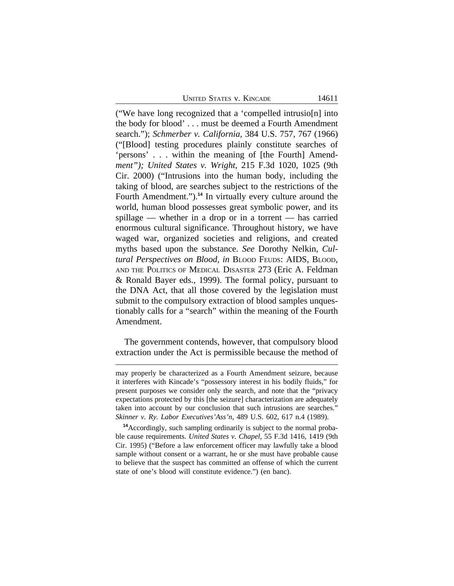UNITED STATES V. KINCADE 14611

("We have long recognized that a 'compelled intrusio[n] into the body for blood' . . . must be deemed a Fourth Amendment search."); *Schmerber v. California*, 384 U.S. 757, 767 (1966) ("[Blood] testing procedures plainly constitute searches of 'persons' . . . within the meaning of [the Fourth] Amend*ment"); United States v. Wright*, 215 F.3d 1020, 1025 (9th Cir. 2000) ("Intrusions into the human body, including the taking of blood, are searches subject to the restrictions of the Fourth Amendment.").**<sup>14</sup>** In virtually every culture around the world, human blood possesses great symbolic power, and its spillage — whether in a drop or in a torrent — has carried enormous cultural significance. Throughout history, we have waged war, organized societies and religions, and created myths based upon the substance. *See* Dorothy Nelkin, *Cultural Perspectives on Blood*, *in* BLOOD FEUDS: AIDS, BLOOD, AND THE POLITICS OF MEDICAL DISASTER 273 (Eric A. Feldman & Ronald Bayer eds., 1999). The formal policy, pursuant to the DNA Act, that all those covered by the legislation must submit to the compulsory extraction of blood samples unquestionably calls for a "search" within the meaning of the Fourth Amendment.

The government contends, however, that compulsory blood extraction under the Act is permissible because the method of

may properly be characterized as a Fourth Amendment seizure, because it interferes with Kincade's "possessory interest in his bodily fluids," for present purposes we consider only the search, and note that the "privacy expectations protected by this [the seizure] characterization are adequately taken into account by our conclusion that such intrusions are searches." *Skinner v. Ry. Labor Executives'Ass'n*, 489 U.S. 602, 617 n.4 (1989).

**<sup>14</sup>**Accordingly, such sampling ordinarily is subject to the normal probable cause requirements. *United States v. Chapel*, 55 F.3d 1416, 1419 (9th Cir. 1995) ("Before a law enforcement officer may lawfully take a blood sample without consent or a warrant, he or she must have probable cause to believe that the suspect has committed an offense of which the current state of one's blood will constitute evidence.") (en banc).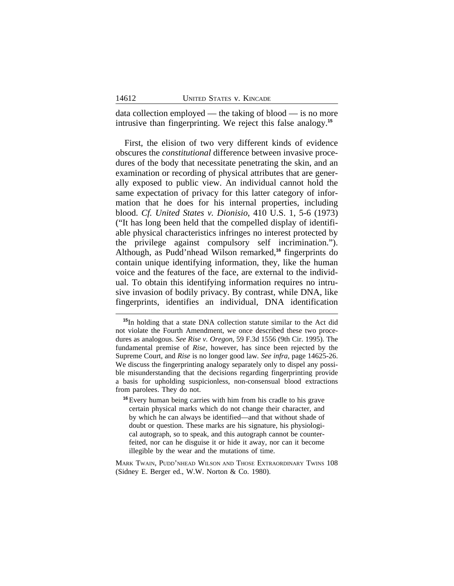data collection employed — the taking of blood — is no more intrusive than fingerprinting. We reject this false analogy.**<sup>15</sup>**

First, the elision of two very different kinds of evidence obscures the *constitutional* difference between invasive procedures of the body that necessitate penetrating the skin, and an examination or recording of physical attributes that are generally exposed to public view. An individual cannot hold the same expectation of privacy for this latter category of information that he does for his internal properties, including blood. *Cf. United States v. Dionisio*, 410 U.S. 1, 5-6 (1973) ("It has long been held that the compelled display of identifiable physical characteristics infringes no interest protected by the privilege against compulsory self incrimination."). Although, as Pudd'nhead Wilson remarked,**<sup>16</sup>** fingerprints do contain unique identifying information, they, like the human voice and the features of the face, are external to the individual. To obtain this identifying information requires no intrusive invasion of bodily privacy. By contrast, while DNA, like fingerprints, identifies an individual, DNA identification

MARK TWAIN, PUDD'NHEAD WILSON AND THOSE EXTRAORDINARY TWINS 108 (Sidney E. Berger ed., W.W. Norton & Co. 1980).

**<sup>15</sup>**In holding that a state DNA collection statute similar to the Act did not violate the Fourth Amendment, we once described these two procedures as analogous. *See Rise v. Oregon*, 59 F.3d 1556 (9th Cir. 1995). The fundamental premise of *Rise*, however, has since been rejected by the Supreme Court, and *Rise* is no longer good law*. See infra*, page 14625-26. We discuss the fingerprinting analogy separately only to dispel any possible misunderstanding that the decisions regarding fingerprinting provide a basis for upholding suspicionless, non-consensual blood extractions from parolees. They do not.

**<sup>16</sup>**Every human being carries with him from his cradle to his grave certain physical marks which do not change their character, and by which he can always be identified—and that without shade of doubt or question. These marks are his signature, his physiological autograph, so to speak, and this autograph cannot be counterfeited, nor can he disguise it or hide it away, nor can it become illegible by the wear and the mutations of time.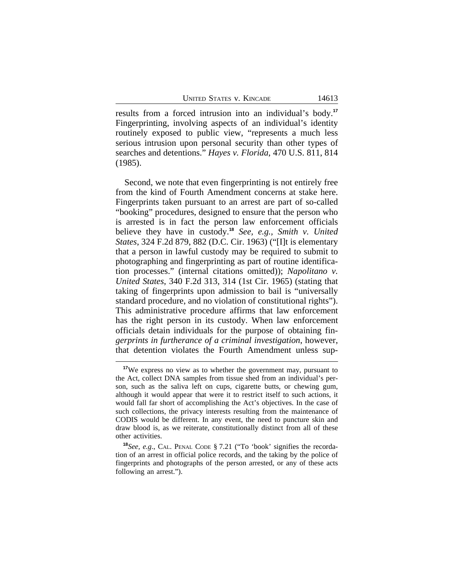results from a forced intrusion into an individual's body.**<sup>17</sup>** Fingerprinting, involving aspects of an individual's identity routinely exposed to public view, "represents a much less serious intrusion upon personal security than other types of searches and detentions." *Hayes v. Florida*, 470 U.S. 811, 814 (1985).

Second, we note that even fingerprinting is not entirely free from the kind of Fourth Amendment concerns at stake here. Fingerprints taken pursuant to an arrest are part of so-called "booking" procedures, designed to ensure that the person who is arrested is in fact the person law enforcement officials believe they have in custody.**<sup>18</sup>** *See, e.g., Smith v. United States*, 324 F.2d 879, 882 (D.C. Cir. 1963) ("[I]t is elementary that a person in lawful custody may be required to submit to photographing and fingerprinting as part of routine identification processes." (internal citations omitted)); *Napolitano v. United States*, 340 F.2d 313, 314 (1st Cir. 1965) (stating that taking of fingerprints upon admission to bail is "universally standard procedure, and no violation of constitutional rights"). This administrative procedure affirms that law enforcement has the right person in its custody. When law enforcement officials detain individuals for the purpose of obtaining fin*gerprints in furtherance of a criminal investigation*, however, that detention violates the Fourth Amendment unless sup-

**<sup>17</sup>**We express no view as to whether the government may, pursuant to the Act, collect DNA samples from tissue shed from an individual's person, such as the saliva left on cups, cigarette butts, or chewing gum, although it would appear that were it to restrict itself to such actions, it would fall far short of accomplishing the Act's objectives. In the case of such collections, the privacy interests resulting from the maintenance of CODIS would be different. In any event, the need to puncture skin and draw blood is, as we reiterate, constitutionally distinct from all of these other activities.

**<sup>18</sup>***See, e.g*., CAL. PENAL CODE § 7.21 ("To 'book' signifies the recordation of an arrest in official police records, and the taking by the police of fingerprints and photographs of the person arrested, or any of these acts following an arrest.").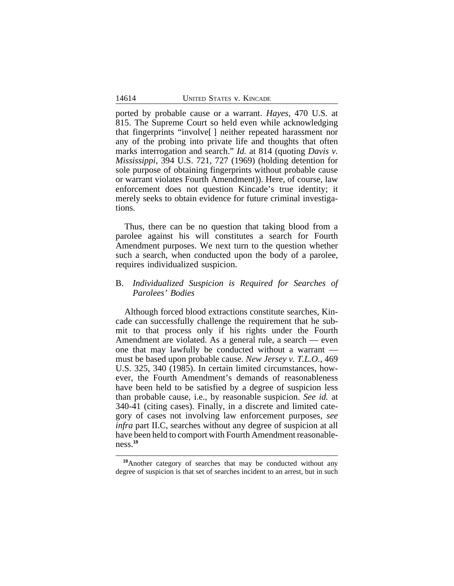ported by probable cause or a warrant. *Hayes*, 470 U.S. at 815. The Supreme Court so held even while acknowledging that fingerprints "involve[ ] neither repeated harassment nor any of the probing into private life and thoughts that often marks interrogation and search." *Id.* at 814 (quoting *Davis v. Mississippi*, 394 U.S. 721, 727 (1969) (holding detention for sole purpose of obtaining fingerprints without probable cause or warrant violates Fourth Amendment)). Here, of course, law enforcement does not question Kincade's true identity; it merely seeks to obtain evidence for future criminal investigations.

Thus, there can be no question that taking blood from a parolee against his will constitutes a search for Fourth Amendment purposes. We next turn to the question whether such a search, when conducted upon the body of a parolee, requires individualized suspicion.

# B. *Individualized Suspicion is Required for Searches of Parolees' Bodies*

Although forced blood extractions constitute searches, Kincade can successfully challenge the requirement that he submit to that process only if his rights under the Fourth Amendment are violated. As a general rule, a search — even one that may lawfully be conducted without a warrant must be based upon probable cause. *New Jersey v. T.L.O.*, 469 U.S. 325, 340 (1985). In certain limited circumstances, however, the Fourth Amendment's demands of reasonableness have been held to be satisfied by a degree of suspicion less than probable cause, i.e., by reasonable suspicion. *See id.* at 340-41 (citing cases). Finally, in a discrete and limited category of cases not involving law enforcement purposes, *see infra* part II.C, searches without any degree of suspicion at all have been held to comport with Fourth Amendment reasonableness.**<sup>19</sup>**

**<sup>19</sup>**Another category of searches that may be conducted without any degree of suspicion is that set of searches incident to an arrest, but in such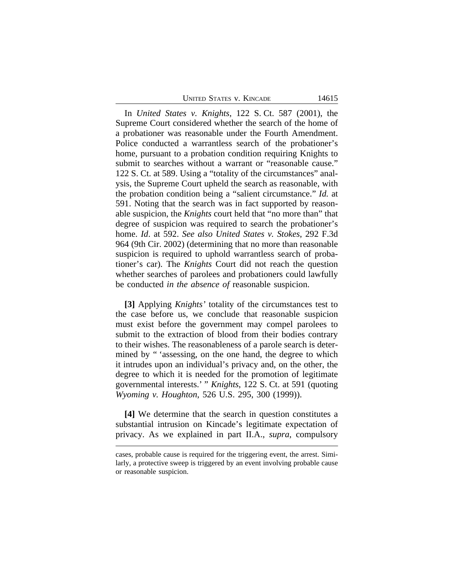UNITED STATES V. KINCADE 14615

In *United States v. Knights*, 122 S. Ct. 587 (2001), the Supreme Court considered whether the search of the home of a probationer was reasonable under the Fourth Amendment. Police conducted a warrantless search of the probationer's home, pursuant to a probation condition requiring Knights to submit to searches without a warrant or "reasonable cause." 122 S. Ct. at 589. Using a "totality of the circumstances" analysis, the Supreme Court upheld the search as reasonable, with the probation condition being a "salient circumstance." *Id.* at 591. Noting that the search was in fact supported by reasonable suspicion, the *Knights* court held that "no more than" that degree of suspicion was required to search the probationer's home. *Id*. at 592. *See also United States v. Stokes*, 292 F.3d 964 (9th Cir. 2002) (determining that no more than reasonable suspicion is required to uphold warrantless search of probationer's car). The *Knights* Court did not reach the question whether searches of parolees and probationers could lawfully be conducted *in the absence of* reasonable suspicion.

**[3]** Applying *Knights'* totality of the circumstances test to the case before us, we conclude that reasonable suspicion must exist before the government may compel parolees to submit to the extraction of blood from their bodies contrary to their wishes. The reasonableness of a parole search is determined by " 'assessing, on the one hand, the degree to which it intrudes upon an individual's privacy and, on the other, the degree to which it is needed for the promotion of legitimate governmental interests.' " *Knights*, 122 S. Ct. at 591 (quoting *Wyoming v. Houghton*, 526 U.S. 295, 300 (1999)).

**[4]** We determine that the search in question constitutes a substantial intrusion on Kincade's legitimate expectation of privacy. As we explained in part II.A., *supra*, compulsory

cases, probable cause is required for the triggering event, the arrest. Similarly, a protective sweep is triggered by an event involving probable cause or reasonable suspicion.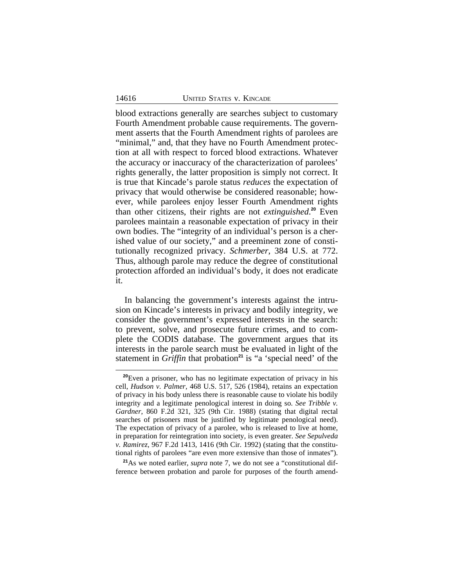blood extractions generally are searches subject to customary Fourth Amendment probable cause requirements. The government asserts that the Fourth Amendment rights of parolees are "minimal," and, that they have no Fourth Amendment protection at all with respect to forced blood extractions. Whatever the accuracy or inaccuracy of the characterization of parolees' rights generally, the latter proposition is simply not correct. It is true that Kincade's parole status *reduces* the expectation of privacy that would otherwise be considered reasonable; however, while parolees enjoy lesser Fourth Amendment rights than other citizens, their rights are not *extinguished*. **<sup>20</sup>** Even parolees maintain a reasonable expectation of privacy in their own bodies. The "integrity of an individual's person is a cherished value of our society," and a preeminent zone of constitutionally recognized privacy. *Schmerber*, 384 U.S. at 772. Thus, although parole may reduce the degree of constitutional protection afforded an individual's body, it does not eradicate it.

In balancing the government's interests against the intrusion on Kincade's interests in privacy and bodily integrity, we consider the government's expressed interests in the search: to prevent, solve, and prosecute future crimes, and to complete the CODIS database. The government argues that its interests in the parole search must be evaluated in light of the statement in *Griffin* that probation<sup>21</sup> is "a 'special need' of the

**<sup>20</sup>**Even a prisoner, who has no legitimate expectation of privacy in his cell, *Hudson v. Palmer*, 468 U.S. 517, 526 (1984), retains an expectation of privacy in his body unless there is reasonable cause to violate his bodily integrity and a legitimate penological interest in doing so. *See Tribble v. Gardner*, 860 F.2d 321, 325 (9th Cir. 1988) (stating that digital rectal searches of prisoners must be justified by legitimate penological need). The expectation of privacy of a parolee, who is released to live at home, in preparation for reintegration into society, is even greater. *See Sepulveda v. Ramirez*, 967 F.2d 1413, 1416 (9th Cir. 1992) (stating that the constitutional rights of parolees "are even more extensive than those of inmates").

**<sup>21</sup>**As we noted earlier, *supra* note 7, we do not see a "constitutional difference between probation and parole for purposes of the fourth amend-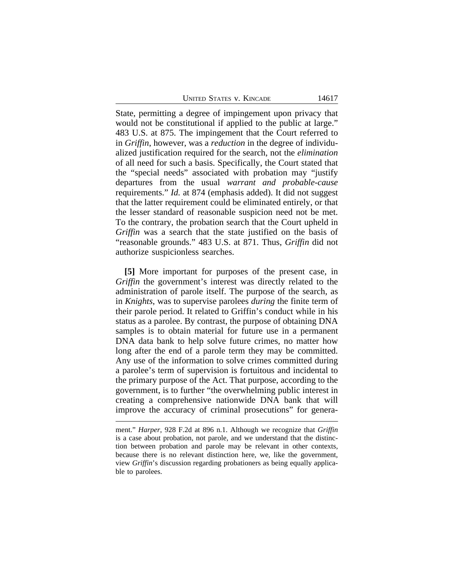UNITED STATES V. KINCADE 14617

State, permitting a degree of impingement upon privacy that would not be constitutional if applied to the public at large." 483 U.S. at 875. The impingement that the Court referred to in *Griffin*, however, was a *reduction* in the degree of individualized justification required for the search, not the *elimination* of all need for such a basis. Specifically, the Court stated that the "special needs" associated with probation may "justify departures from the usual *warrant and probable-cause* requirements." *Id.* at 874 (emphasis added). It did not suggest that the latter requirement could be eliminated entirely, or that the lesser standard of reasonable suspicion need not be met. To the contrary, the probation search that the Court upheld in *Griffin* was a search that the state justified on the basis of "reasonable grounds." 483 U.S. at 871. Thus, *Griffin* did not authorize suspicionless searches.

**[5]** More important for purposes of the present case, in *Griffin* the government's interest was directly related to the administration of parole itself. The purpose of the search, as in *Knights*, was to supervise parolees *during* the finite term of their parole period. It related to Griffin's conduct while in his status as a parolee. By contrast, the purpose of obtaining DNA samples is to obtain material for future use in a permanent DNA data bank to help solve future crimes, no matter how long after the end of a parole term they may be committed. Any use of the information to solve crimes committed during a parolee's term of supervision is fortuitous and incidental to the primary purpose of the Act. That purpose, according to the government, is to further "the overwhelming public interest in creating a comprehensive nationwide DNA bank that will improve the accuracy of criminal prosecutions" for genera-

ment." *Harper*, 928 F.2d at 896 n.1. Although we recognize that *Griffin* is a case about probation, not parole, and we understand that the distinction between probation and parole may be relevant in other contexts, because there is no relevant distinction here, we, like the government, view *Griffin*'s discussion regarding probationers as being equally applicable to parolees.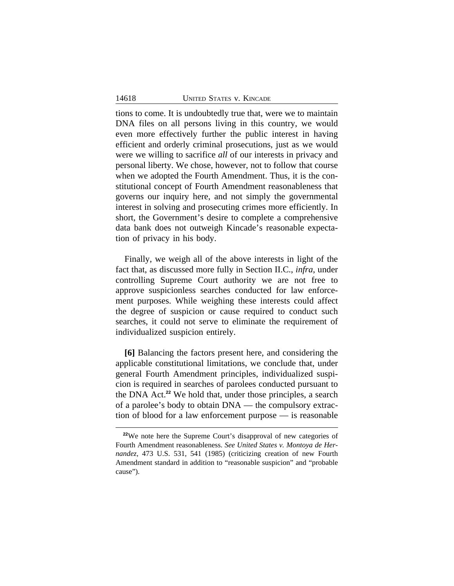tions to come. It is undoubtedly true that, were we to maintain DNA files on all persons living in this country, we would even more effectively further the public interest in having efficient and orderly criminal prosecutions, just as we would were we willing to sacrifice *all* of our interests in privacy and personal liberty. We chose, however, not to follow that course when we adopted the Fourth Amendment. Thus, it is the constitutional concept of Fourth Amendment reasonableness that governs our inquiry here, and not simply the governmental interest in solving and prosecuting crimes more efficiently. In short, the Government's desire to complete a comprehensive data bank does not outweigh Kincade's reasonable expectation of privacy in his body.

Finally, we weigh all of the above interests in light of the fact that, as discussed more fully in Section II.C., *infra*, under controlling Supreme Court authority we are not free to approve suspicionless searches conducted for law enforcement purposes. While weighing these interests could affect the degree of suspicion or cause required to conduct such searches, it could not serve to eliminate the requirement of individualized suspicion entirely.

**[6]** Balancing the factors present here, and considering the applicable constitutional limitations, we conclude that, under general Fourth Amendment principles, individualized suspicion is required in searches of parolees conducted pursuant to the DNA Act.**<sup>22</sup>** We hold that, under those principles, a search of a parolee's body to obtain DNA — the compulsory extraction of blood for a law enforcement purpose — is reasonable

<sup>&</sup>lt;sup>22</sup>We note here the Supreme Court's disapproval of new categories of Fourth Amendment reasonableness. *See United States v. Montoya de Hernandez*, 473 U.S. 531, 541 (1985) (criticizing creation of new Fourth Amendment standard in addition to "reasonable suspicion" and "probable cause").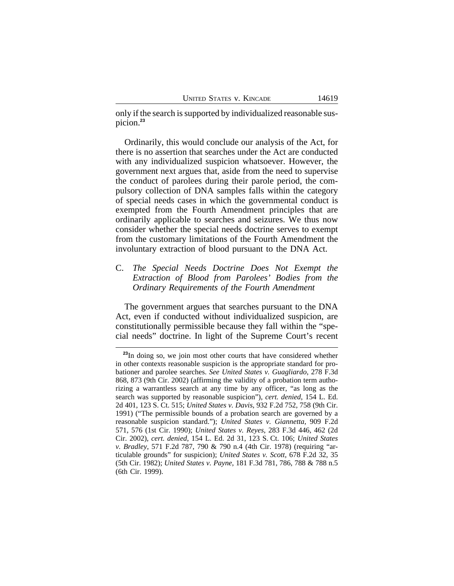only if the search is supported by individualized reasonable suspicion.**<sup>23</sup>**

Ordinarily, this would conclude our analysis of the Act, for there is no assertion that searches under the Act are conducted with any individualized suspicion whatsoever. However, the government next argues that, aside from the need to supervise the conduct of parolees during their parole period, the compulsory collection of DNA samples falls within the category of special needs cases in which the governmental conduct is exempted from the Fourth Amendment principles that are ordinarily applicable to searches and seizures. We thus now consider whether the special needs doctrine serves to exempt from the customary limitations of the Fourth Amendment the involuntary extraction of blood pursuant to the DNA Act.

# C. *The Special Needs Doctrine Does Not Exempt the Extraction of Blood from Parolees' Bodies from the Ordinary Requirements of the Fourth Amendment*

The government argues that searches pursuant to the DNA Act, even if conducted without individualized suspicion, are constitutionally permissible because they fall within the "special needs" doctrine. In light of the Supreme Court's recent

<sup>&</sup>lt;sup>23</sup>In doing so, we join most other courts that have considered whether in other contexts reasonable suspicion is the appropriate standard for probationer and parolee searches. *See United States v. Guagliardo*, 278 F.3d 868, 873 (9th Cir. 2002) (affirming the validity of a probation term authorizing a warrantless search at any time by any officer, "as long as the search was supported by reasonable suspicion"), *cert. denied*, 154 L. Ed. 2d 401, 123 S. Ct. 515; *United States v. Davis*, 932 F.2d 752, 758 (9th Cir. 1991) ("The permissible bounds of a probation search are governed by a reasonable suspicion standard."); *United States v. Giannetta*, 909 F.2d 571, 576 (1st Cir. 1990); *United States v. Reyes*, 283 F.3d 446, 462 (2d Cir. 2002), *cert. denied*, 154 L. Ed. 2d 31, 123 S. Ct. 106; *United States v. Bradley*, 571 F.2d 787, 790 & 790 n.4 (4th Cir. 1978) (requiring "articulable grounds" for suspicion); *United States v. Scott*, 678 F.2d 32, 35 (5th Cir. 1982); *United States v. Payne*, 181 F.3d 781, 786, 788 & 788 n.5 (6th Cir. 1999).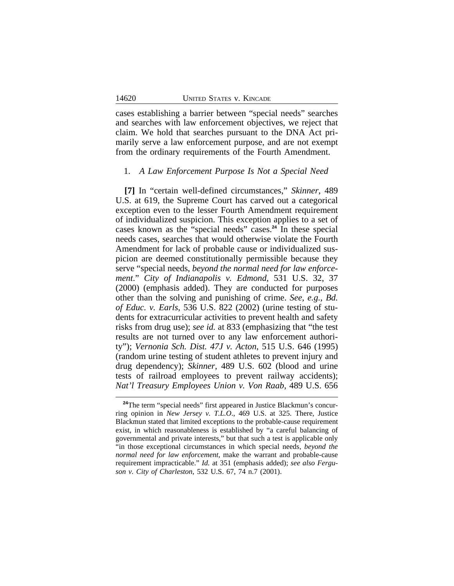cases establishing a barrier between "special needs" searches and searches with law enforcement objectives, we reject that claim. We hold that searches pursuant to the DNA Act primarily serve a law enforcement purpose, and are not exempt from the ordinary requirements of the Fourth Amendment.

### 1. *A Law Enforcement Purpose Is Not a Special Need*

**[7]** In "certain well-defined circumstances," *Skinner*, 489 U.S. at 619, the Supreme Court has carved out a categorical exception even to the lesser Fourth Amendment requirement of individualized suspicion. This exception applies to a set of cases known as the "special needs" cases.**<sup>24</sup>** In these special needs cases, searches that would otherwise violate the Fourth Amendment for lack of probable cause or individualized suspicion are deemed constitutionally permissible because they serve "special needs, *beyond the normal need for law enforcement*." *City of Indianapolis v. Edmond*, 531 U.S. 32, 37 (2000) (emphasis added). They are conducted for purposes other than the solving and punishing of crime. *See, e.g., Bd. of Educ. v. Earls*, 536 U.S. 822 (2002) (urine testing of students for extracurricular activities to prevent health and safety risks from drug use); *see id.* at 833 (emphasizing that "the test results are not turned over to any law enforcement authority"); *Vernonia Sch. Dist. 47J v. Acton*, 515 U.S. 646 (1995) (random urine testing of student athletes to prevent injury and drug dependency); *Skinner*, 489 U.S. 602 (blood and urine tests of railroad employees to prevent railway accidents); *Nat'l Treasury Employees Union v. Von Raab*, 489 U.S. 656

<sup>&</sup>lt;sup>24</sup>The term "special needs" first appeared in Justice Blackmun's concurring opinion in *New Jersey v. T.L.O*., 469 U.S. at 325. There, Justice Blackmun stated that limited exceptions to the probable-cause requirement exist, in which reasonableness is established by "a careful balancing of governmental and private interests," but that such a test is applicable only "in those exceptional circumstances in which special needs, *beyond the normal need for law enforcement*, make the warrant and probable-cause requirement impracticable." *Id.* at 351 (emphasis added); *see also Ferguson v. City of Charleston*, 532 U.S. 67, 74 n.7 (2001).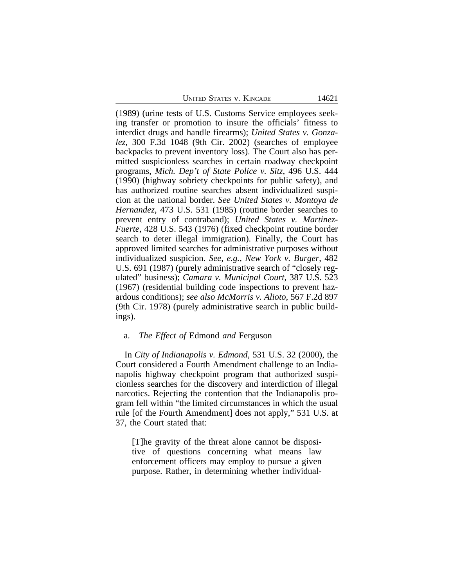(1989) (urine tests of U.S. Customs Service employees seeking transfer or promotion to insure the officials' fitness to interdict drugs and handle firearms); *United States v. Gonzalez*, 300 F.3d 1048 (9th Cir. 2002) (searches of employee backpacks to prevent inventory loss). The Court also has permitted suspicionless searches in certain roadway checkpoint programs, *Mich. Dep't of State Police v. Sitz*, 496 U.S. 444 (1990) (highway sobriety checkpoints for public safety), and has authorized routine searches absent individualized suspicion at the national border. *See United States v. Montoya de Hernandez*, 473 U.S. 531 (1985) (routine border searches to prevent entry of contraband); *United States v. Martinez-Fuerte*, 428 U.S. 543 (1976) (fixed checkpoint routine border search to deter illegal immigration). Finally, the Court has approved limited searches for administrative purposes without individualized suspicion. *See, e.g., New York v. Burger*, 482 U.S. 691 (1987) (purely administrative search of "closely regulated" business); *Camara v. Municipal Court*, 387 U.S. 523 (1967) (residential building code inspections to prevent hazardous conditions); *see also McMorris v. Alioto*, 567 F.2d 897 (9th Cir. 1978) (purely administrative search in public buildings).

#### a. *The Effect of* Edmond *and* Ferguson

In *City of Indianapolis v. Edmond*, 531 U.S. 32 (2000), the Court considered a Fourth Amendment challenge to an Indianapolis highway checkpoint program that authorized suspicionless searches for the discovery and interdiction of illegal narcotics. Rejecting the contention that the Indianapolis program fell within "the limited circumstances in which the usual rule [of the Fourth Amendment] does not apply," 531 U.S. at 37, the Court stated that:

[T]he gravity of the threat alone cannot be dispositive of questions concerning what means law enforcement officers may employ to pursue a given purpose. Rather, in determining whether individual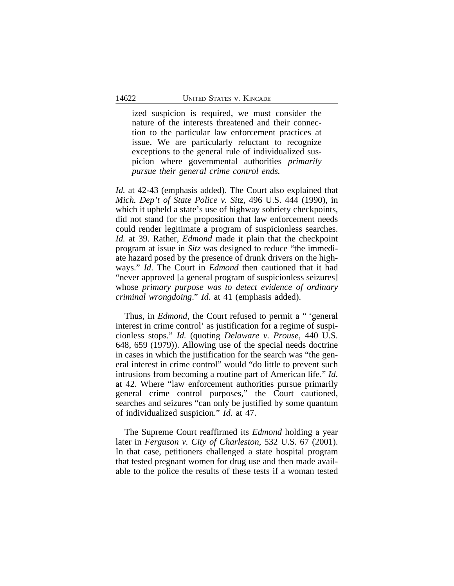ized suspicion is required, we must consider the nature of the interests threatened and their connection to the particular law enforcement practices at issue. We are particularly reluctant to recognize exceptions to the general rule of individualized suspicion where governmental authorities *primarily pursue their general crime control ends.*

*Id.* at 42-43 (emphasis added). The Court also explained that *Mich. Dep't of State Police v. Sitz*, 496 U.S. 444 (1990), in which it upheld a state's use of highway sobriety checkpoints, did not stand for the proposition that law enforcement needs could render legitimate a program of suspicionless searches. *Id.* at 39. Rather, *Edmond* made it plain that the checkpoint program at issue in *Sitz* was designed to reduce "the immediate hazard posed by the presence of drunk drivers on the highways." *Id*. The Court in *Edmond* then cautioned that it had "never approved [a general program of suspicionless seizures] whose *primary purpose was to detect evidence of ordinary criminal wrongdoing*." *Id*. at 41 (emphasis added).

Thus, in *Edmond*, the Court refused to permit a " 'general interest in crime control' as justification for a regime of suspicionless stops." *Id.* (quoting *Delaware v. Prouse*, 440 U.S. 648, 659 (1979)). Allowing use of the special needs doctrine in cases in which the justification for the search was "the general interest in crime control" would "do little to prevent such intrusions from becoming a routine part of American life." *Id*. at 42. Where "law enforcement authorities pursue primarily general crime control purposes," the Court cautioned, searches and seizures "can only be justified by some quantum of individualized suspicion." *Id.* at 47.

The Supreme Court reaffirmed its *Edmond* holding a year later in *Ferguson v. City of Charleston,* 532 U.S. 67 (2001). In that case, petitioners challenged a state hospital program that tested pregnant women for drug use and then made available to the police the results of these tests if a woman tested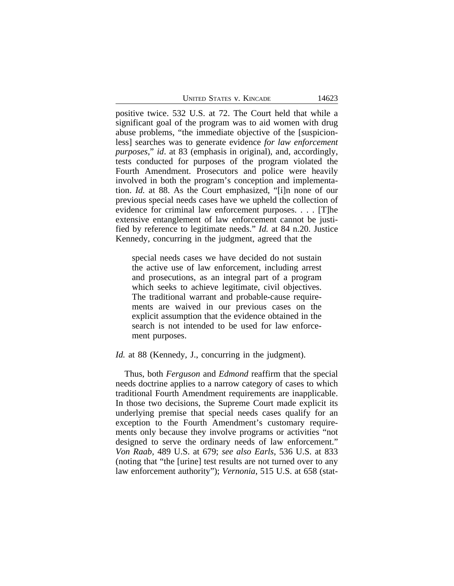positive twice. 532 U.S. at 72. The Court held that while a significant goal of the program was to aid women with drug abuse problems, "the immediate objective of the [suspicionless] searches was to generate evidence *for law enforcement purposes*," *id*. at 83 (emphasis in original), and, accordingly, tests conducted for purposes of the program violated the Fourth Amendment. Prosecutors and police were heavily involved in both the program's conception and implementation. *Id.* at 88. As the Court emphasized, "[i]n none of our previous special needs cases have we upheld the collection of evidence for criminal law enforcement purposes. . . . [T]he extensive entanglement of law enforcement cannot be justified by reference to legitimate needs." *Id.* at 84 n.20. Justice Kennedy, concurring in the judgment, agreed that the

special needs cases we have decided do not sustain the active use of law enforcement, including arrest and prosecutions, as an integral part of a program which seeks to achieve legitimate, civil objectives. The traditional warrant and probable-cause requirements are waived in our previous cases on the explicit assumption that the evidence obtained in the search is not intended to be used for law enforcement purposes.

#### *Id.* at 88 (Kennedy, J., concurring in the judgment).

Thus, both *Ferguson* and *Edmond* reaffirm that the special needs doctrine applies to a narrow category of cases to which traditional Fourth Amendment requirements are inapplicable. In those two decisions, the Supreme Court made explicit its underlying premise that special needs cases qualify for an exception to the Fourth Amendment's customary requirements only because they involve programs or activities "not designed to serve the ordinary needs of law enforcement." *Von Raab,* 489 U.S. at 679; *see also Earls*, 536 U.S. at 833 (noting that "the [urine] test results are not turned over to any law enforcement authority"); *Vernonia*, 515 U.S. at 658 (stat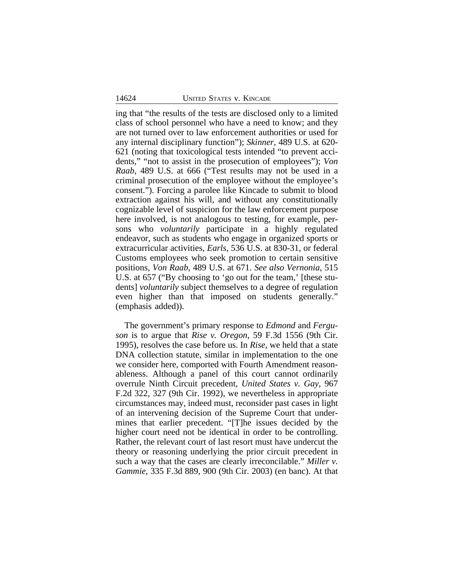ing that "the results of the tests are disclosed only to a limited class of school personnel who have a need to know; and they are not turned over to law enforcement authorities or used for any internal disciplinary function"); *Skinner*, 489 U.S. at 620- 621 (noting that toxicological tests intended "to prevent accidents," "not to assist in the prosecution of employees"); *Von Raab*, 489 U.S. at 666 ("Test results may not be used in a criminal prosecution of the employee without the employee's consent."). Forcing a parolee like Kincade to submit to blood extraction against his will, and without any constitutionally cognizable level of suspicion for the law enforcement purpose here involved, is not analogous to testing, for example, persons who *voluntarily* participate in a highly regulated endeavor, such as students who engage in organized sports or extracurricular activities, *Earls*, 536 U.S. at 830-31, or federal Customs employees who seek promotion to certain sensitive positions, *Von Raab*, 489 U.S. at 671. *See also Vernonia*, 515 U.S. at 657 ("By choosing to 'go out for the team,' [these students] *voluntarily* subject themselves to a degree of regulation even higher than that imposed on students generally." (emphasis added)).

The government's primary response to *Edmond* and *Ferguson* is to argue that *Rise v. Oregon*, 59 F.3d 1556 (9th Cir. 1995), resolves the case before us. In *Rise,* we held that a state DNA collection statute, similar in implementation to the one we consider here, comported with Fourth Amendment reasonableness. Although a panel of this court cannot ordinarily overrule Ninth Circuit precedent, *United States v. Gay*, 967 F.2d 322, 327 (9th Cir. 1992), we nevertheless in appropriate circumstances may, indeed must, reconsider past cases in light of an intervening decision of the Supreme Court that undermines that earlier precedent. "[T]he issues decided by the higher court need not be identical in order to be controlling. Rather, the relevant court of last resort must have undercut the theory or reasoning underlying the prior circuit precedent in such a way that the cases are clearly irreconcilable." *Miller v. Gammie*, 335 F.3d 889, 900 (9th Cir. 2003) (en banc). At that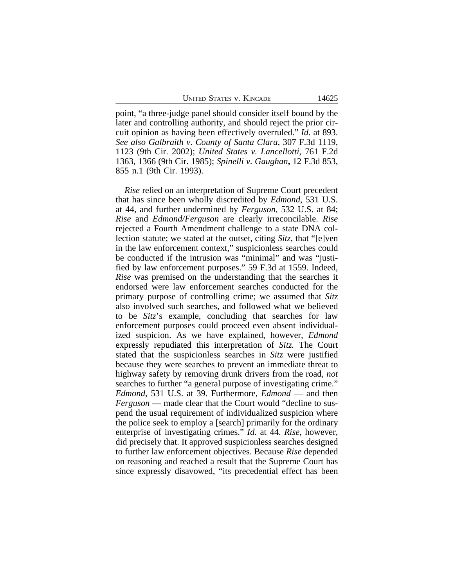UNITED STATES V. KINCADE 14625

point, "a three-judge panel should consider itself bound by the later and controlling authority, and should reject the prior circuit opinion as having been effectively overruled." *Id.* at 893. *See also Galbraith v. County of Santa Clara*, 307 F.3d 1119, 1123 (9th Cir. 2002); *United States v. Lancellotti*, 761 F.2d 1363, 1366 (9th Cir. 1985); *Spinelli v. Gaughan***,** 12 F.3d 853, 855 n.1 (9th Cir. 1993).

*Rise* relied on an interpretation of Supreme Court precedent that has since been wholly discredited by *Edmond*, 531 U.S. at 44, and further undermined by *Ferguson*, 532 U.S. at 84; *Rise* and *Edmond/Ferguson* are clearly irreconcilable. *Rise* rejected a Fourth Amendment challenge to a state DNA collection statute; we stated at the outset, citing *Sitz*, that "[e]ven in the law enforcement context," suspicionless searches could be conducted if the intrusion was "minimal" and was "justified by law enforcement purposes." 59 F.3d at 1559. Indeed, *Rise* was premised on the understanding that the searches it endorsed were law enforcement searches conducted for the primary purpose of controlling crime; we assumed that *Sitz* also involved such searches, and followed what we believed to be *Sitz*'s example, concluding that searches for law enforcement purposes could proceed even absent individualized suspicion. As we have explained, however, *Edmond* expressly repudiated this interpretation of *Sitz.* The Court stated that the suspicionless searches in *Sitz* were justified because they were searches to prevent an immediate threat to highway safety by removing drunk drivers from the road, *not* searches to further "a general purpose of investigating crime." *Edmond*, 531 U.S. at 39. Furthermore, *Edmond* — and then *Ferguson* — made clear that the Court would "decline to suspend the usual requirement of individualized suspicion where the police seek to employ a [search] primarily for the ordinary enterprise of investigating crimes." *Id.* at 44. *Rise*, however, did precisely that. It approved suspicionless searches designed to further law enforcement objectives. Because *Rise* depended on reasoning and reached a result that the Supreme Court has since expressly disavowed, "its precedential effect has been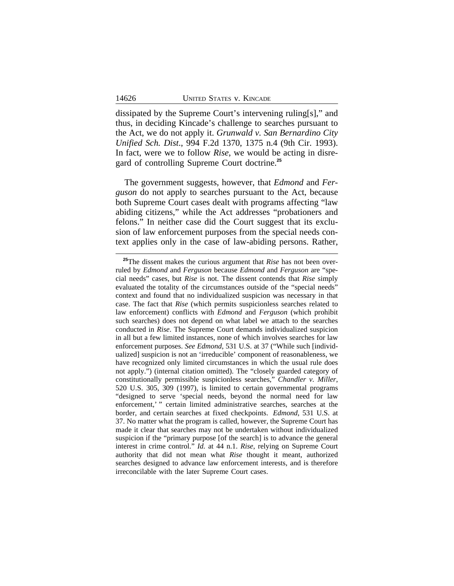dissipated by the Supreme Court's intervening ruling[s]," and thus, in deciding Kincade's challenge to searches pursuant to the Act, we do not apply it. *Grunwald v. San Bernardino City Unified Sch. Dist*., 994 F.2d 1370, 1375 n.4 (9th Cir. 1993). In fact, were we to follow *Rise*, we would be acting in disregard of controlling Supreme Court doctrine.**<sup>25</sup>**

The government suggests, however, that *Edmond* and *Ferguson* do not apply to searches pursuant to the Act, because both Supreme Court cases dealt with programs affecting "law abiding citizens," while the Act addresses "probationers and felons." In neither case did the Court suggest that its exclusion of law enforcement purposes from the special needs context applies only in the case of law-abiding persons. Rather,

**<sup>25</sup>**The dissent makes the curious argument that *Rise* has not been overruled by *Edmond* and *Ferguson* because *Edmond* and *Ferguson* are "special needs" cases, but *Rise* is not. The dissent contends that *Rise* simply evaluated the totality of the circumstances outside of the "special needs" context and found that no individualized suspicion was necessary in that case. The fact that *Rise* (which permits suspicionless searches related to law enforcement) conflicts with *Edmond* and *Ferguson* (which prohibit such searches) does not depend on what label we attach to the searches conducted in *Rise*. The Supreme Court demands individualized suspicion in all but a few limited instances, none of which involves searches for law enforcement purposes. *See Edmond*, 531 U.S. at 37 ("While such [individualized] suspicion is not an 'irreducible' component of reasonableness, we have recognized only limited circumstances in which the usual rule does not apply.") (internal citation omitted). The "closely guarded category of constitutionally permissible suspicionless searches," *Chandler v. Miller*, 520 U.S. 305, 309 (1997), is limited to certain governmental programs "designed to serve 'special needs, beyond the normal need for law enforcement,' " certain limited administrative searches, searches at the border, and certain searches at fixed checkpoints. *Edmond*, 531 U.S. at 37. No matter what the program is called, however, the Supreme Court has made it clear that searches may not be undertaken without individualized suspicion if the "primary purpose [of the search] is to advance the general interest in crime control." *Id.* at 44 n.1. *Rise*, relying on Supreme Court authority that did not mean what *Rise* thought it meant, authorized searches designed to advance law enforcement interests, and is therefore irreconcilable with the later Supreme Court cases.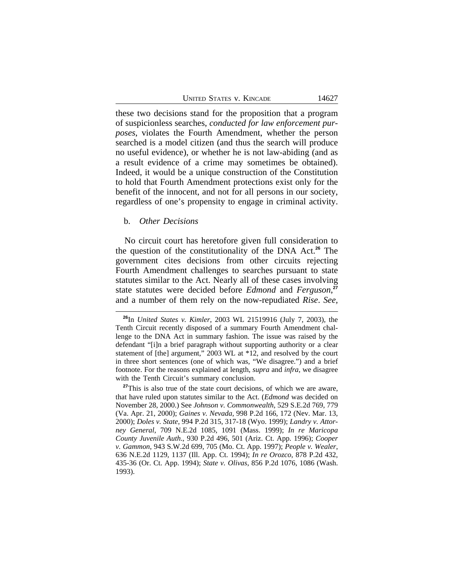UNITED STATES V. KINCADE 14627

these two decisions stand for the proposition that a program of suspicionless searches, *conducted for law enforcement purposes*, violates the Fourth Amendment, whether the person searched is a model citizen (and thus the search will produce no useful evidence), or whether he is not law-abiding (and as a result evidence of a crime may sometimes be obtained). Indeed, it would be a unique construction of the Constitution to hold that Fourth Amendment protections exist only for the benefit of the innocent, and not for all persons in our society, regardless of one's propensity to engage in criminal activity.

### b. *Other Decisions*

No circuit court has heretofore given full consideration to the question of the constitutionality of the DNA Act.**<sup>26</sup>** The government cites decisions from other circuits rejecting Fourth Amendment challenges to searches pursuant to state statutes similar to the Act. Nearly all of these cases involving state statutes were decided before *Edmond* and *Ferguson*, **27** and a number of them rely on the now-repudiated *Rise*. *See,*

**<sup>26</sup>**In *United States v. Kimler*, 2003 WL 21519916 (July 7, 2003), the Tenth Circuit recently disposed of a summary Fourth Amendment challenge to the DNA Act in summary fashion. The issue was raised by the defendant "[i]n a brief paragraph without supporting authority or a clear statement of [the] argument," 2003 WL at \*12, and resolved by the court in three short sentences (one of which was, "We disagree.") and a brief footnote. For the reasons explained at length, *supra* and *infra*, we disagree with the Tenth Circuit's summary conclusion.

<sup>&</sup>lt;sup>27</sup>This is also true of the state court decisions, of which we are aware, that have ruled upon statutes similar to the Act. (*Edmond* was decided on November 28, 2000.) See *Johnson v. Commonwealth*, 529 S.E.2d 769, 779 (Va. Apr. 21, 2000); *Gaines v. Nevada*, 998 P.2d 166, 172 (Nev. Mar. 13, 2000); *Doles v. State*, 994 P.2d 315, 317-18 (Wyo. 1999); *Landry v. Attorney General*, 709 N.E.2d 1085, 1091 (Mass. 1999); *In re Maricopa County Juvenile Auth*., 930 P.2d 496, 501 (Ariz. Ct. App. 1996); *Cooper v. Gammon*, 943 S.W.2d 699, 705 (Mo. Ct. App. 1997); *People v. Wealer*, 636 N.E.2d 1129, 1137 (Ill. App. Ct. 1994); *In re Orozco*, 878 P.2d 432, 435-36 (Or. Ct. App. 1994); *State v. Olivas*, 856 P.2d 1076, 1086 (Wash. 1993).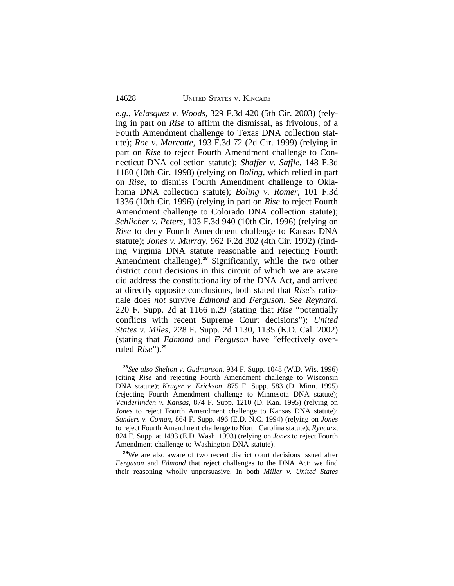*e.g.*, *Velasquez v. Woods,* 329 F.3d 420 (5th Cir. 2003) (relying in part on *Rise* to affirm the dismissal, as frivolous, of a Fourth Amendment challenge to Texas DNA collection statute); *Roe v. Marcotte*, 193 F.3d 72 (2d Cir. 1999) (relying in part on *Rise* to reject Fourth Amendment challenge to Connecticut DNA collection statute); *Shaffer v. Saffle*, 148 F.3d 1180 (10th Cir. 1998) (relying on *Boling,* which relied in part on *Rise*, to dismiss Fourth Amendment challenge to Oklahoma DNA collection statute); *Boling v. Romer*, 101 F.3d 1336 (10th Cir. 1996) (relying in part on *Rise* to reject Fourth Amendment challenge to Colorado DNA collection statute); *Schlicher v. Peters*, 103 F.3d 940 (10th Cir. 1996) (relying on *Rise* to deny Fourth Amendment challenge to Kansas DNA statute); *Jones v. Murray*, 962 F.2d 302 (4th Cir. 1992) (finding Virginia DNA statute reasonable and rejecting Fourth Amendment challenge).**<sup>28</sup>** Significantly, while the two other district court decisions in this circuit of which we are aware did address the constitutionality of the DNA Act, and arrived at directly opposite conclusions, both stated that *Rise*'s rationale does *not* survive *Edmond* and *Ferguson. See Reynard*, 220 F. Supp. 2d at 1166 n.29 (stating that *Rise* "potentially conflicts with recent Supreme Court decisions"); *United States v. Miles*, 228 F. Supp. 2d 1130, 1135 (E.D. Cal. 2002) (stating that *Edmond* and *Ferguson* have "effectively overruled *Rise*").**<sup>29</sup>**

**<sup>28</sup>***See also Shelton v. Gudmanson*, 934 F. Supp. 1048 (W.D. Wis. 1996) (citing *Rise* and rejecting Fourth Amendment challenge to Wisconsin DNA statute); *Kruger v. Erickson*, 875 F. Supp. 583 (D. Minn. 1995) (rejecting Fourth Amendment challenge to Minnesota DNA statute); *Vanderlinden v. Kansas*, 874 F. Supp. 1210 (D. Kan. 1995) (relying on *Jones* to reject Fourth Amendment challenge to Kansas DNA statute); *Sanders v. Coman*, 864 F. Supp. 496 (E.D. N.C. 1994) (relying on *Jones* to reject Fourth Amendment challenge to North Carolina statute); *Ryncarz*, 824 F. Supp. at 1493 (E.D. Wash. 1993) (relying on *Jones* to reject Fourth Amendment challenge to Washington DNA statute).

**<sup>29</sup>**We are also aware of two recent district court decisions issued after *Ferguson* and *Edmond* that reject challenges to the DNA Act; we find their reasoning wholly unpersuasive. In both *Miller v. United States*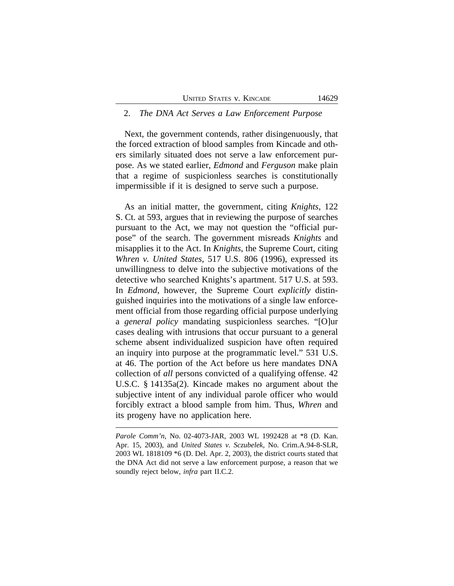### 2. *The DNA Act Serves a Law Enforcement Purpose*

Next, the government contends, rather disingenuously, that the forced extraction of blood samples from Kincade and others similarly situated does not serve a law enforcement purpose. As we stated earlier, *Edmond* and *Ferguson* make plain that a regime of suspicionless searches is constitutionally impermissible if it is designed to serve such a purpose.

As an initial matter, the government, citing *Knights*, 122 S. Ct. at 593, argues that in reviewing the purpose of searches pursuant to the Act, we may not question the "official purpose" of the search. The government misreads *Knights* and misapplies it to the Act. In *Knights*, the Supreme Court, citing *Whren v. United States*, 517 U.S. 806 (1996), expressed its unwillingness to delve into the subjective motivations of the detective who searched Knights's apartment. 517 U.S. at 593. In *Edmond*, however, the Supreme Court *explicitly* distinguished inquiries into the motivations of a single law enforcement official from those regarding official purpose underlying a *general policy* mandating suspicionless searches. "[O]ur cases dealing with intrusions that occur pursuant to a general scheme absent individualized suspicion have often required an inquiry into purpose at the programmatic level." 531 U.S. at 46. The portion of the Act before us here mandates DNA collection of *all* persons convicted of a qualifying offense. 42 U.S.C. § 14135a(2). Kincade makes no argument about the subjective intent of any individual parole officer who would forcibly extract a blood sample from him. Thus, *Whren* and its progeny have no application here.

*Parole Comm'n,* No. 02-4073-JAR, 2003 WL 1992428 at \*8 (D. Kan. Apr. 15, 2003), and *United States v. Sczubelek,* No. Crim.A.94-8-SLR, 2003 WL 1818109 \*6 (D. Del. Apr. 2, 2003), the district courts stated that the DNA Act did not serve a law enforcement purpose, a reason that we soundly reject below, *infra* part II.C.2.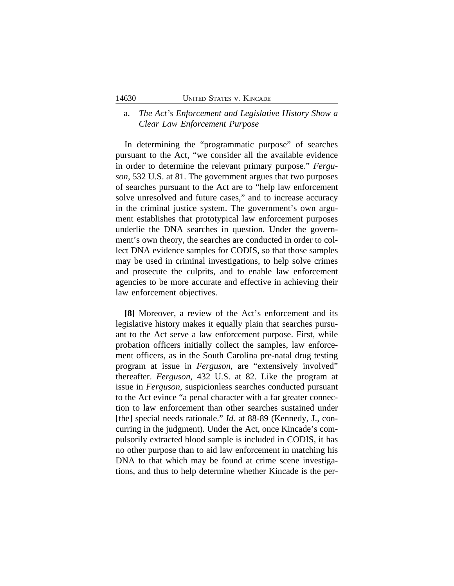# a. *The Act's Enforcement and Legislative History Show a Clear Law Enforcement Purpose*

In determining the "programmatic purpose" of searches pursuant to the Act, "we consider all the available evidence in order to determine the relevant primary purpose." *Ferguson*, 532 U.S. at 81. The government argues that two purposes of searches pursuant to the Act are to "help law enforcement solve unresolved and future cases," and to increase accuracy in the criminal justice system. The government's own argument establishes that prototypical law enforcement purposes underlie the DNA searches in question. Under the government's own theory, the searches are conducted in order to collect DNA evidence samples for CODIS, so that those samples may be used in criminal investigations, to help solve crimes and prosecute the culprits, and to enable law enforcement agencies to be more accurate and effective in achieving their law enforcement objectives.

**[8]** Moreover, a review of the Act's enforcement and its legislative history makes it equally plain that searches pursuant to the Act serve a law enforcement purpose. First, while probation officers initially collect the samples, law enforcement officers, as in the South Carolina pre-natal drug testing program at issue in *Ferguson*, are "extensively involved" thereafter. *Ferguson*, 432 U.S. at 82. Like the program at issue in *Ferguson*, suspicionless searches conducted pursuant to the Act evince "a penal character with a far greater connection to law enforcement than other searches sustained under [the] special needs rationale." *Id.* at 88-89 (Kennedy, J., concurring in the judgment). Under the Act, once Kincade's compulsorily extracted blood sample is included in CODIS, it has no other purpose than to aid law enforcement in matching his DNA to that which may be found at crime scene investigations, and thus to help determine whether Kincade is the per-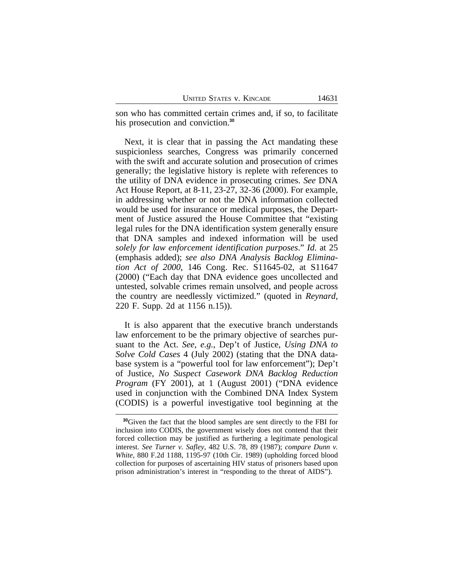son who has committed certain crimes and, if so, to facilitate his prosecution and conviction.**<sup>30</sup>**

Next, it is clear that in passing the Act mandating these suspicionless searches, Congress was primarily concerned with the swift and accurate solution and prosecution of crimes generally; the legislative history is replete with references to the utility of DNA evidence in prosecuting crimes. *See* DNA Act House Report, at 8-11, 23-27, 32-36 (2000). For example, in addressing whether or not the DNA information collected would be used for insurance or medical purposes, the Department of Justice assured the House Committee that "existing legal rules for the DNA identification system generally ensure that DNA samples and indexed information will be used *solely for law enforcement identification purposes*." *Id*. at 25 (emphasis added); *see also DNA Analysis Backlog Elimination Act of 2000*, 146 Cong. Rec. S11645-02, at S11647 (2000) ("Each day that DNA evidence goes uncollected and untested, solvable crimes remain unsolved, and people across the country are needlessly victimized." (quoted in *Reynard*, 220 F. Supp. 2d at 1156 n.15)).

It is also apparent that the executive branch understands law enforcement to be the primary objective of searches pursuant to the Act. *See, e.g.*, Dep't of Justice, *Using DNA to Solve Cold Cases* 4 (July 2002) (stating that the DNA database system is a "powerful tool for law enforcement"); Dep't of Justice, *No Suspect Casework DNA Backlog Reduction Program* (FY 2001), at 1 (August 2001) ("DNA evidence used in conjunction with the Combined DNA Index System (CODIS) is a powerful investigative tool beginning at the

**<sup>30</sup>**Given the fact that the blood samples are sent directly to the FBI for inclusion into CODIS, the government wisely does not contend that their forced collection may be justified as furthering a legitimate penological interest. *See Turner v. Safley*, 482 U.S. 78, 89 (1987); *compare Dunn v. White*, 880 F.2d 1188, 1195-97 (10th Cir. 1989) (upholding forced blood collection for purposes of ascertaining HIV status of prisoners based upon prison administration's interest in "responding to the threat of AIDS").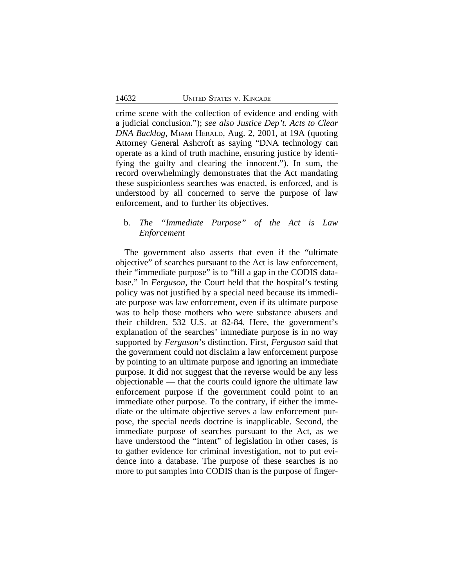crime scene with the collection of evidence and ending with a judicial conclusion."); *see also Justice Dep't. Acts to Clear DNA Backlog*, MIAMI HERALD, Aug. 2, 2001, at 19A (quoting Attorney General Ashcroft as saying "DNA technology can operate as a kind of truth machine, ensuring justice by identifying the guilty and clearing the innocent."). In sum, the record overwhelmingly demonstrates that the Act mandating these suspicionless searches was enacted, is enforced, and is understood by all concerned to serve the purpose of law enforcement, and to further its objectives.

# b. *The "Immediate Purpose" of the Act is Law Enforcement*

The government also asserts that even if the "ultimate objective" of searches pursuant to the Act is law enforcement, their "immediate purpose" is to "fill a gap in the CODIS database." In *Ferguson*, the Court held that the hospital's testing policy was not justified by a special need because its immediate purpose was law enforcement, even if its ultimate purpose was to help those mothers who were substance abusers and their children. 532 U.S. at 82-84. Here, the government's explanation of the searches' immediate purpose is in no way supported by *Ferguson*'s distinction. First, *Ferguson* said that the government could not disclaim a law enforcement purpose by pointing to an ultimate purpose and ignoring an immediate purpose. It did not suggest that the reverse would be any less objectionable — that the courts could ignore the ultimate law enforcement purpose if the government could point to an immediate other purpose. To the contrary, if either the immediate or the ultimate objective serves a law enforcement purpose, the special needs doctrine is inapplicable. Second, the immediate purpose of searches pursuant to the Act, as we have understood the "intent" of legislation in other cases, is to gather evidence for criminal investigation, not to put evidence into a database. The purpose of these searches is no more to put samples into CODIS than is the purpose of finger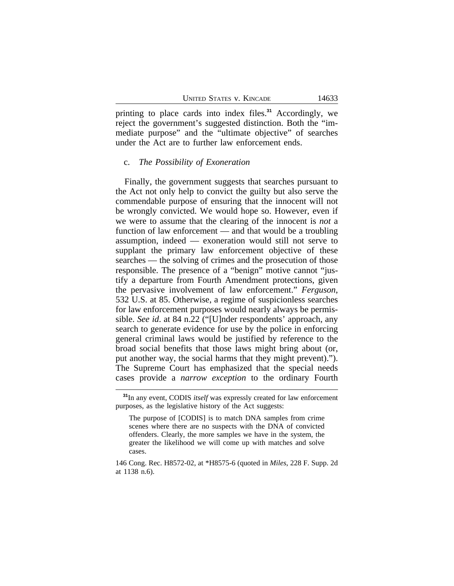printing to place cards into index files.**<sup>31</sup>** Accordingly, we reject the government's suggested distinction. Both the "immediate purpose" and the "ultimate objective" of searches under the Act are to further law enforcement ends.

#### c. *The Possibility of Exoneration*

Finally, the government suggests that searches pursuant to the Act not only help to convict the guilty but also serve the commendable purpose of ensuring that the innocent will not be wrongly convicted. We would hope so. However, even if we were to assume that the clearing of the innocent is *not* a function of law enforcement — and that would be a troubling assumption, indeed — exoneration would still not serve to supplant the primary law enforcement objective of these searches — the solving of crimes and the prosecution of those responsible. The presence of a "benign" motive cannot "justify a departure from Fourth Amendment protections, given the pervasive involvement of law enforcement." *Ferguson*, 532 U.S. at 85. Otherwise, a regime of suspicionless searches for law enforcement purposes would nearly always be permissible. *See id*. at 84 n.22 ("[U]nder respondents' approach, any search to generate evidence for use by the police in enforcing general criminal laws would be justified by reference to the broad social benefits that those laws might bring about (or, put another way, the social harms that they might prevent)."). The Supreme Court has emphasized that the special needs cases provide a *narrow exception* to the ordinary Fourth

**<sup>31</sup>**In any event, CODIS *itself* was expressly created for law enforcement purposes, as the legislative history of the Act suggests:

The purpose of [CODIS] is to match DNA samples from crime scenes where there are no suspects with the DNA of convicted offenders. Clearly, the more samples we have in the system, the greater the likelihood we will come up with matches and solve cases.

<sup>146</sup> Cong. Rec. H8572-02, at \*H8575-6 (quoted in *Miles*, 228 F. Supp. 2d at 1138 n.6).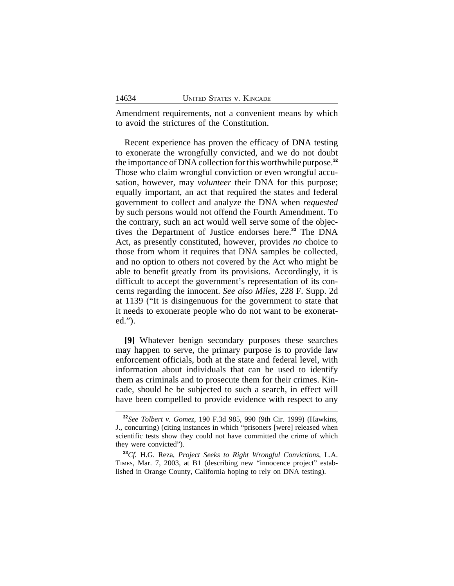Amendment requirements, not a convenient means by which to avoid the strictures of the Constitution.

Recent experience has proven the efficacy of DNA testing to exonerate the wrongfully convicted, and we do not doubt the importance of DNA collection for this worthwhile purpose.**<sup>32</sup>** Those who claim wrongful conviction or even wrongful accusation, however, may *volunteer* their DNA for this purpose; equally important, an act that required the states and federal government to collect and analyze the DNA when *requested* by such persons would not offend the Fourth Amendment. To the contrary, such an act would well serve some of the objectives the Department of Justice endorses here.**<sup>33</sup>** The DNA Act, as presently constituted, however, provides *no* choice to those from whom it requires that DNA samples be collected, and no option to others not covered by the Act who might be able to benefit greatly from its provisions. Accordingly, it is difficult to accept the government's representation of its concerns regarding the innocent. *See also Miles*, 228 F. Supp. 2d at 1139 ("It is disingenuous for the government to state that it needs to exonerate people who do not want to be exonerated.").

**[9]** Whatever benign secondary purposes these searches may happen to serve, the primary purpose is to provide law enforcement officials, both at the state and federal level, with information about individuals that can be used to identify them as criminals and to prosecute them for their crimes. Kincade, should he be subjected to such a search, in effect will have been compelled to provide evidence with respect to any

**<sup>32</sup>***See Tolbert v. Gomez*, 190 F.3d 985, 990 (9th Cir. 1999) (Hawkins, J., concurring) (citing instances in which "prisoners [were] released when scientific tests show they could not have committed the crime of which they were convicted").

**<sup>33</sup>***Cf.* H.G. Reza, *Project Seeks to Right Wrongful Convictions*, L.A. TIMES, Mar. 7, 2003, at B1 (describing new "innocence project" established in Orange County, California hoping to rely on DNA testing).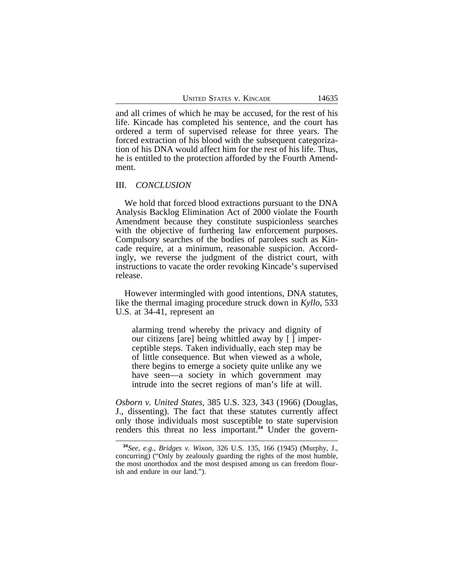and all crimes of which he may be accused, for the rest of his life. Kincade has completed his sentence, and the court has ordered a term of supervised release for three years. The forced extraction of his blood with the subsequent categorization of his DNA would affect him for the rest of his life. Thus, he is entitled to the protection afforded by the Fourth Amendment.

### III. *CONCLUSION*

We hold that forced blood extractions pursuant to the DNA Analysis Backlog Elimination Act of 2000 violate the Fourth Amendment because they constitute suspicionless searches with the objective of furthering law enforcement purposes. Compulsory searches of the bodies of parolees such as Kincade require, at a minimum, reasonable suspicion. Accordingly, we reverse the judgment of the district court, with instructions to vacate the order revoking Kincade's supervised release.

However intermingled with good intentions, DNA statutes, like the thermal imaging procedure struck down in *Kyllo*, 533 U.S. at 34-41, represent an

alarming trend whereby the privacy and dignity of our citizens [are] being whittled away by [ ] imperceptible steps. Taken individually, each step may be of little consequence. But when viewed as a whole, there begins to emerge a society quite unlike any we have seen—a society in which government may intrude into the secret regions of man's life at will.

*Osborn v. United States*, 385 U.S. 323, 343 (1966) (Douglas, J., dissenting). The fact that these statutes currently affect only those individuals most susceptible to state supervision renders this threat no less important.**34** Under the govern-

**<sup>34</sup>***See, e.g., Bridges v. Wixon*, 326 U.S. 135, 166 (1945) (Murphy, J., concurring) ("Only by zealously guarding the rights of the most humble, the most unorthodox and the most despised among us can freedom flourish and endure in our land.").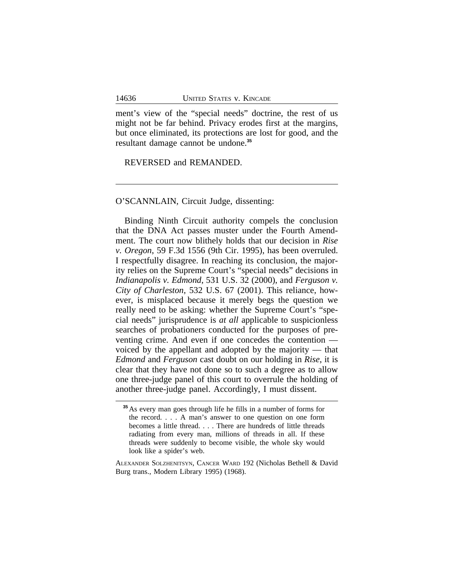ment's view of the "special needs" doctrine, the rest of us might not be far behind. Privacy erodes first at the margins, but once eliminated, its protections are lost for good, and the resultant damage cannot be undone.**<sup>35</sup>**

REVERSED and REMANDED.

### O'SCANNLAIN, Circuit Judge, dissenting:

Binding Ninth Circuit authority compels the conclusion that the DNA Act passes muster under the Fourth Amendment. The court now blithely holds that our decision in *Rise v. Oregon*, 59 F.3d 1556 (9th Cir. 1995), has been overruled. I respectfully disagree. In reaching its conclusion, the majority relies on the Supreme Court's "special needs" decisions in *Indianapolis v. Edmond*, 531 U.S. 32 (2000), and *Ferguson v. City of Charleston*, 532 U.S. 67 (2001). This reliance, however, is misplaced because it merely begs the question we really need to be asking: whether the Supreme Court's "special needs" jurisprudence is *at all* applicable to suspicionless searches of probationers conducted for the purposes of preventing crime. And even if one concedes the contention voiced by the appellant and adopted by the majority — that *Edmond* and *Ferguson* cast doubt on our holding in *Rise*, it is clear that they have not done so to such a degree as to allow one three-judge panel of this court to overrule the holding of another three-judge panel. Accordingly, I must dissent.

**<sup>35</sup>**As every man goes through life he fills in a number of forms for the record. . . . A man's answer to one question on one form becomes a little thread. . . . There are hundreds of little threads radiating from every man, millions of threads in all. If these threads were suddenly to become visible, the whole sky would look like a spider's web.

ALEXANDER SOLZHENITSYN, CANCER WARD 192 (Nicholas Bethell & David Burg trans., Modern Library 1995) (1968).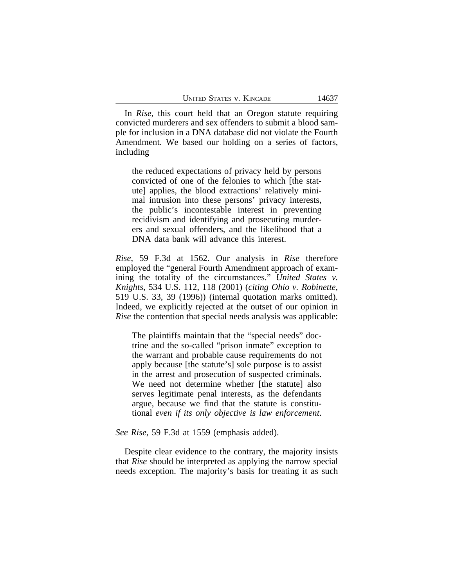In *Rise*, this court held that an Oregon statute requiring convicted murderers and sex offenders to submit a blood sample for inclusion in a DNA database did not violate the Fourth Amendment. We based our holding on a series of factors, including

the reduced expectations of privacy held by persons convicted of one of the felonies to which [the statute] applies, the blood extractions' relatively minimal intrusion into these persons' privacy interests, the public's incontestable interest in preventing recidivism and identifying and prosecuting murderers and sexual offenders, and the likelihood that a DNA data bank will advance this interest.

*Rise*, 59 F.3d at 1562. Our analysis in *Rise* therefore employed the "general Fourth Amendment approach of examining the totality of the circumstances." *United States v. Knights*, 534 U.S. 112, 118 (2001) (*citing Ohio v. Robinette*, 519 U.S. 33, 39 (1996)) (internal quotation marks omitted). Indeed, we explicitly rejected at the outset of our opinion in *Rise* the contention that special needs analysis was applicable:

The plaintiffs maintain that the "special needs" doctrine and the so-called "prison inmate" exception to the warrant and probable cause requirements do not apply because [the statute's] sole purpose is to assist in the arrest and prosecution of suspected criminals. We need not determine whether [the statute] also serves legitimate penal interests, as the defendants argue, because we find that the statute is constitutional *even if its only objective is law enforcement*.

*See Rise*, 59 F.3d at 1559 (emphasis added).

Despite clear evidence to the contrary, the majority insists that *Rise* should be interpreted as applying the narrow special needs exception. The majority's basis for treating it as such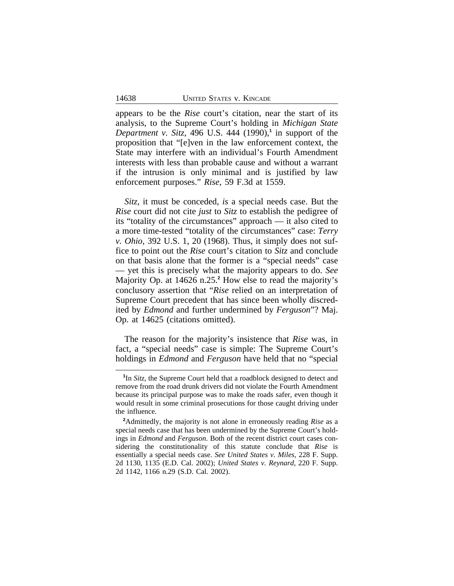appears to be the *Rise* court's citation, near the start of its analysis, to the Supreme Court's holding in *Michigan State Department v. Sitz*, 496 U.S. 444 (1990),**<sup>1</sup>** in support of the proposition that "[e]ven in the law enforcement context, the State may interfere with an individual's Fourth Amendment interests with less than probable cause and without a warrant if the intrusion is only minimal and is justified by law enforcement purposes." *Rise*, 59 F.3d at 1559.

*Sitz*, it must be conceded, *is* a special needs case. But the *Rise* court did not cite *just* to *Sitz* to establish the pedigree of its "totality of the circumstances" approach — it also cited to a more time-tested "totality of the circumstances" case: *Terry v. Ohio*, 392 U.S. 1, 20 (1968). Thus, it simply does not suffice to point out the *Rise* court's citation to *Sitz* and conclude on that basis alone that the former is a "special needs" case — yet this is precisely what the majority appears to do. *See* Majority Op. at 14626 n.25.**<sup>2</sup>** How else to read the majority's conclusory assertion that "*Rise* relied on an interpretation of Supreme Court precedent that has since been wholly discredited by *Edmond* and further undermined by *Ferguson*"? Maj. Op. at 14625 (citations omitted).

The reason for the majority's insistence that *Rise* was, in fact, a "special needs" case is simple: The Supreme Court's holdings in *Edmond* and *Ferguson* have held that no "special

<sup>&</sup>lt;sup>1</sup>In *Sitz*, the Supreme Court held that a roadblock designed to detect and remove from the road drunk drivers did not violate the Fourth Amendment because its principal purpose was to make the roads safer, even though it would result in some criminal prosecutions for those caught driving under the influence.

**<sup>2</sup>**Admittedly, the majority is not alone in erroneously reading *Rise* as a special needs case that has been undermined by the Supreme Court's holdings in *Edmond* and *Ferguson*. Both of the recent district court cases considering the constitutionality of this statute conclude that *Rise* is essentially a special needs case. *See United States v. Miles*, 228 F. Supp. 2d 1130, 1135 (E.D. Cal. 2002); *United States v. Reynard*, 220 F. Supp. 2d 1142, 1166 n.29 (S.D. Cal. 2002).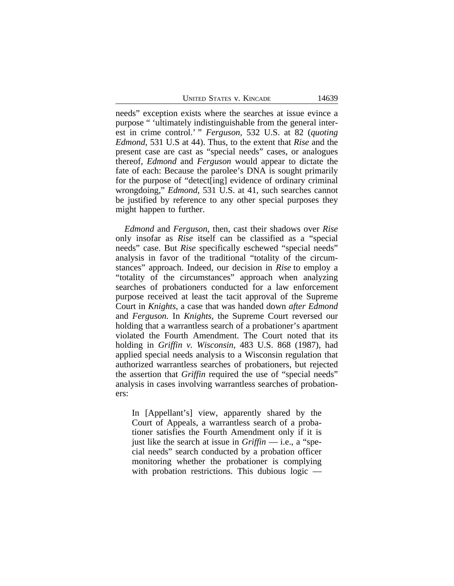UNITED STATES V. KINCADE 14639

needs" exception exists where the searches at issue evince a purpose " 'ultimately indistinguishable from the general interest in crime control.' " *Ferguson*, 532 U.S. at 82 (*quoting Edmond*, 531 U.S at 44). Thus, to the extent that *Rise* and the present case are cast as "special needs" cases, or analogues thereof, *Edmond* and *Ferguson* would appear to dictate the fate of each: Because the parolee's DNA is sought primarily for the purpose of "detect[ing] evidence of ordinary criminal wrongdoing," *Edmond*, 531 U.S. at 41, such searches cannot be justified by reference to any other special purposes they might happen to further.

*Edmond* and *Ferguson*, then, cast their shadows over *Rise* only insofar as *Rise* itself can be classified as a "special needs" case. But *Rise* specifically eschewed "special needs" analysis in favor of the traditional "totality of the circumstances" approach. Indeed, our decision in *Rise* to employ a "totality of the circumstances" approach when analyzing searches of probationers conducted for a law enforcement purpose received at least the tacit approval of the Supreme Court in *Knights*, a case that was handed down *after Edmond* and *Ferguson.* In *Knights*, the Supreme Court reversed our holding that a warrantless search of a probationer's apartment violated the Fourth Amendment. The Court noted that its holding in *Griffin v. Wisconsin*, 483 U.S. 868 (1987), had applied special needs analysis to a Wisconsin regulation that authorized warrantless searches of probationers, but rejected the assertion that *Griffin* required the use of "special needs" analysis in cases involving warrantless searches of probationers:

In [Appellant's] view, apparently shared by the Court of Appeals, a warrantless search of a probationer satisfies the Fourth Amendment only if it is just like the search at issue in *Griffin* — i.e., a "special needs" search conducted by a probation officer monitoring whether the probationer is complying with probation restrictions. This dubious logic —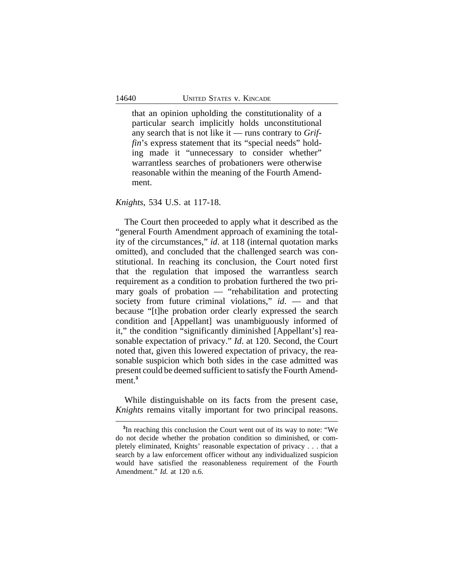that an opinion upholding the constitutionality of a particular search implicitly holds unconstitutional any search that is not like it — runs contrary to *Griffin*'s express statement that its "special needs" holding made it "unnecessary to consider whether" warrantless searches of probationers were otherwise reasonable within the meaning of the Fourth Amendment.

#### *Knights*, 534 U.S. at 117-18.

The Court then proceeded to apply what it described as the "general Fourth Amendment approach of examining the totality of the circumstances," *id*. at 118 (internal quotation marks omitted), and concluded that the challenged search was constitutional. In reaching its conclusion, the Court noted first that the regulation that imposed the warrantless search requirement as a condition to probation furthered the two primary goals of probation — "rehabilitation and protecting society from future criminal violations," *id*. — and that because "[t]he probation order clearly expressed the search condition and [Appellant] was unambiguously informed of it," the condition "significantly diminished [Appellant's] reasonable expectation of privacy." *Id*. at 120. Second, the Court noted that, given this lowered expectation of privacy, the reasonable suspicion which both sides in the case admitted was present could be deemed sufficient to satisfy the Fourth Amendment.**<sup>3</sup>**

While distinguishable on its facts from the present case, *Knights* remains vitally important for two principal reasons.

**<sup>3</sup>** In reaching this conclusion the Court went out of its way to note: "We do not decide whether the probation condition so diminished, or completely eliminated, Knights' reasonable expectation of privacy . . . that a search by a law enforcement officer without any individualized suspicion would have satisfied the reasonableness requirement of the Fourth Amendment." *Id.* at 120 n.6.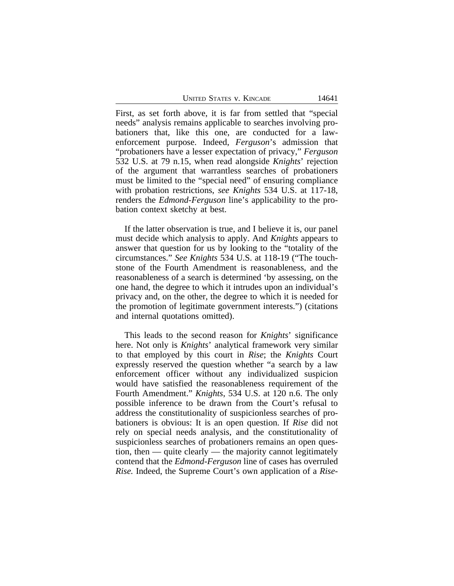UNITED STATES V. KINCADE 14641

First, as set forth above, it is far from settled that "special needs" analysis remains applicable to searches involving probationers that, like this one, are conducted for a lawenforcement purpose. Indeed, *Ferguson*'s admission that "probationers have a lesser expectation of privacy," *Ferguson* 532 U.S. at 79 n.15, when read alongside *Knights*' rejection of the argument that warrantless searches of probationers must be limited to the "special need" of ensuring compliance with probation restrictions, *see Knights* 534 U.S. at 117-18, renders the *Edmond*-*Ferguson* line's applicability to the probation context sketchy at best.

If the latter observation is true, and I believe it is, our panel must decide which analysis to apply. And *Knights* appears to answer that question for us by looking to the "totality of the circumstances." *See Knights* 534 U.S. at 118-19 ("The touchstone of the Fourth Amendment is reasonableness, and the reasonableness of a search is determined 'by assessing, on the one hand, the degree to which it intrudes upon an individual's privacy and, on the other, the degree to which it is needed for the promotion of legitimate government interests.") (citations and internal quotations omitted).

This leads to the second reason for *Knights*' significance here. Not only is *Knights*' analytical framework very similar to that employed by this court in *Rise*; the *Knights* Court expressly reserved the question whether "a search by a law enforcement officer without any individualized suspicion would have satisfied the reasonableness requirement of the Fourth Amendment." *Knights*, 534 U.S. at 120 n.6. The only possible inference to be drawn from the Court's refusal to address the constitutionality of suspicionless searches of probationers is obvious: It is an open question. If *Rise* did not rely on special needs analysis, and the constitutionality of suspicionless searches of probationers remains an open question, then — quite clearly — the majority cannot legitimately contend that the *Edmond-Ferguson* line of cases has overruled *Rise.* Indeed, the Supreme Court's own application of a *Rise*-